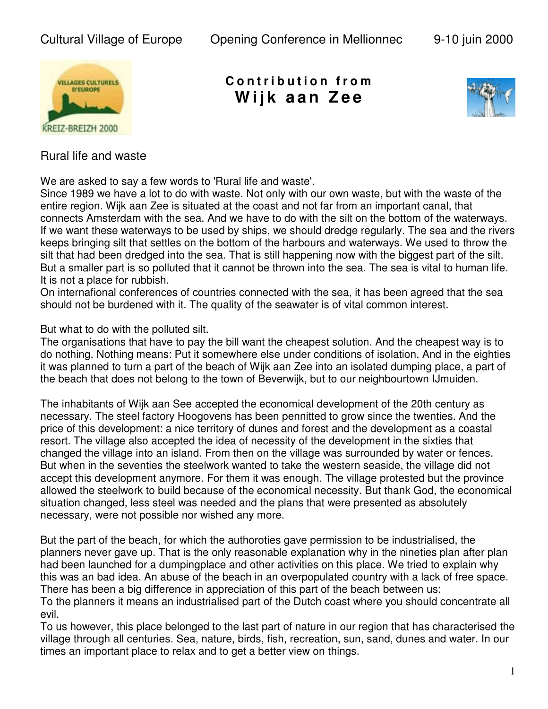Cultural Village of Europe Opening Conference in Mellionnec 9-10 juin 2000



**C o n t r i b u t i o n f r o m W i j k aa n Z e e**



Rural life and waste

We are asked to say a few words to 'Rural life and waste'.

Since 1989 we have a lot to do with waste. Not only with our own waste, but with the waste of the entire region. Wijk aan Zee is situated at the coast and not far from an important canal, that connects Amsterdam with the sea. And we have to do with the silt on the bottom of the waterways. If we want these waterways to be used by ships, we should dredge regularly. The sea and the rivers keeps bringing silt that settles on the bottom of the harbours and waterways. We used to throw the silt that had been dredged into the sea. That is still happening now with the biggest part of the silt. But a smaller part is so polluted that it cannot be thrown into the sea. The sea is vital to human life. It is not a place for rubbish.

On internafional conferences of countries connected with the sea, it has been agreed that the sea should not be burdened with it. The quality of the seawater is of vital common interest.

But what to do with the polluted silt.

The organisations that have to pay the bill want the cheapest solution. And the cheapest way is to do nothing. Nothing means: Put it somewhere else under conditions of isolation. And in the eighties it was planned to turn a part of the beach of Wijk aan Zee into an isolated dumping place, a part of the beach that does not belong to the town of Beverwijk, but to our neighbourtown IJmuiden.

The inhabitants of Wijk aan See accepted the economical development of the 20th century as necessary. The steel factory Hoogovens has been pennitted to grow since the twenties. And the price of this development: a nice territory of dunes and forest and the development as a coastal resort. The village also accepted the idea of necessity of the development in the sixties that changed the village into an island. From then on the village was surrounded by water or fences. But when in the seventies the steelwork wanted to take the western seaside, the village did not accept this development anymore. For them it was enough. The village protested but the province allowed the steelwork to build because of the economical necessity. But thank God, the economical situation changed, less steel was needed and the plans that were presented as absolutely necessary, were not possible nor wished any more.

But the part of the beach, for which the authoroties gave permission to be industrialised, the planners never gave up. That is the only reasonable explanation why in the nineties plan after plan had been launched for a dumpingplace and other activities on this place. We tried to explain why this was an bad idea. An abuse of the beach in an overpopulated country with a lack of free space. There has been a big difference in appreciation of this part of the beach between us: To the planners it means an industrialised part of the Dutch coast where you should concentrate all evil.

To us however, this place belonged to the last part of nature in our region that has characterised the village through all centuries. Sea, nature, birds, fish, recreation, sun, sand, dunes and water. In our times an important place to relax and to get a better view on things.